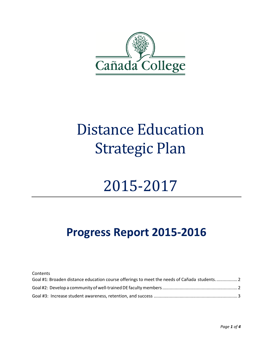

## Distance Education Strategic Plan

# 2015-2017

### **Progress Report 2015-2016**

Contents

| Goal #1: Broaden distance education course offerings to meet the needs of Cañada students2 |  |
|--------------------------------------------------------------------------------------------|--|
|                                                                                            |  |
|                                                                                            |  |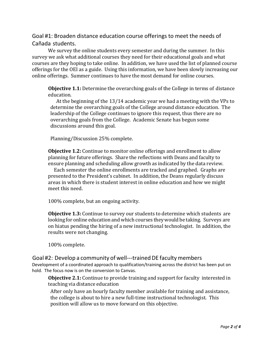<span id="page-1-0"></span>Goal #1: Broaden distance education course offerings to meet the needs of Cañada students.

We survey the online students every semester and during the summer. In this survey we ask what additional courses they need for their educational goals and what courses are they hoping to take online. In addition, we have used the list of planned course offerings for the OEI as a guide. Using this information, we have been slowly increasing our online offerings. Summer continues to have the most demand for online courses.

**Objective 1.1:** Determine the overarching goals of the College in terms of distance education.

 At the beginning of the 13/14 academic year we had a meeting with the VPs to determine the overarching goals of the College around distance education. The leadership of the College continues to ignore this request, thus there are no overarching goals from the College. Academic Senate has begun some discussions around this goal.

Planning/Discussion 25% complete.

**Objective 1.2:** Continue to monitor online offerings and enrollment to allow planning for future offerings. Share the reflections with Deans and faculty to ensure planning and scheduling allow growth as indicated by the data review.

 Each semester the online enrollments are tracked and graphed. Graphs are presented to the President's cabinet. In addition, the Deans regularly discuss areas in which there is student interest in online education and how we might meet this need.

100% complete, but an ongoing activity.

**Objective 1.3:** Continue to survey our students to determine which students are looking for online education andwhich courses theywould be taking. Surveys are on hiatus pending the hiring of a new instructional technologist. In addition, the results were not changing.

100% complete.

#### <span id="page-1-1"></span>Goal #2: Develop a community of well-‐‐trained DE faculty members

Development of a coordinated approach to qualification/training across the district has been put on hold. The focus now is on the conversion to Canvas.

**Objective 2.1:** Continue to provide training and support for faculty interested in teaching via distance education

After only have an hourly faculty member available for training and assistance, the college is about to hire a new full-time instructional technologist. This position will allow us to move forward on this objective.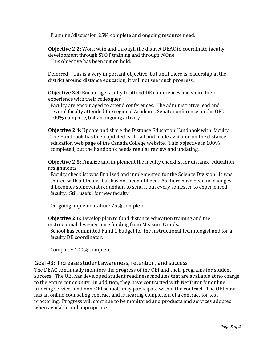Planning/discussion 25% complete and ongoing resource need.

**Objective 2.2:** Work with and through the district DEAC to coordinate faculty development through STOT training and through @One This objective has been put on hold.

Deferred – this is a very important objective, but until there is leadership at the district around distance education, it will not see much progress.

O**bjective 2.3:** Encourage faculty to attend DE conferences and share their experience with their colleagues

Faculty are encouraged to attend conferences. The administrative lead and several faculty attended the regional Academic Senate conference on the OEI. 100% complete, but an ongoing activity.

**Objective 2.4:** Update and share the Distance Education Handbook with faculty The Handbook has been updated each fall and made available on the distance education web page of the Canada College website. This objective is 100% completed, but the handbook needs regular review and updating.

**Objective 2.5:** Finalize and implement the faculty checklist for distance education assignments

Faculty checklist was finalized and implemented for the Science Division. It was shared with all Deans, but has not been utilized. As there have been no changes, it becomes somewhat redundant to send it out every semester to experienced faculty. Still useful for new faculty.

On-going implementation: 75% complete.

**Objective 2.6:** Develop plan to fund distance education training and the instructional designer once funding from Measure G ends. School has committed Fund 1 budget for the instructional technologist and for a faculty DE coordinator.

Complete: 100% complete.

### <span id="page-2-0"></span>Goal #3: Increase student awareness, retention, and success

The DEAC continually monitors the progress of the OEI and their programs for student success. The OEI has developed student readiness modules that are available at no charge to the entire community. In addition, they have contracted with NetTutor for online tutoring services and non-OEI schools may participate within the contract. The OEI now has an online counseling contract and is nearing completion of a contract for test proctoring. Progress will continue to be monitored and products and services adopted when available and appropriate.